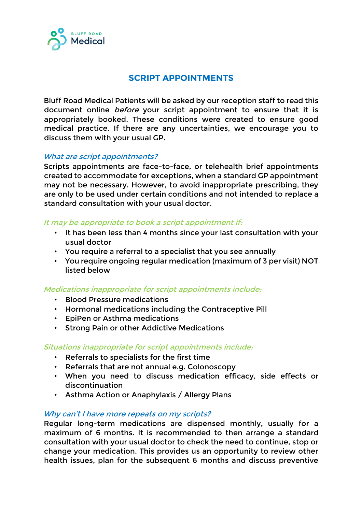

# **SCRIPT APPOINTMENTS**

Bluff Road Medical Patients will be asked by our reception staff to read this document online *before* your script appointment to ensure that it is appropriately booked. These conditions were created to ensure good medical practice. If there are any uncertainties, we encourage you to discuss them with your usual GP.

### What are script appointments?

Scripts appointments are face-to-face, or telehealth brief appointments created to accommodate for exceptions, when a standard GP appointment may not be necessary. However, to avoid inappropriate prescribing, they are only to be used under certain conditions and not intended to replace a standard consultation with your usual doctor.

### It may be appropriate to book a script appointment if:

- It has been less than 4 months since your last consultation with your usual doctor
- You require a referral to a specialist that you see annually
- You require ongoing regular medication (maximum of 3 per visit) NOT listed below

### Medications inappropriate for script appointments include:

- Blood Pressure medications
- Hormonal medications including the Contraceptive Pill
- EpiPen or Asthma medications
- Strong Pain or other Addictive Medications

### Situations inappropriate for script appointments include:

- Referrals to specialists for the first time
- Referrals that are not annual e.g. Colonoscopy
- When you need to discuss medication efficacy, side effects or discontinuation
- Asthma Action or Anaphylaxis / Allergy Plans

### Why can't I have more repeats on my scripts?

Regular long-term medications are dispensed monthly, usually for a maximum of 6 months. It is recommended to then arrange a standard consultation with your usual doctor to check the need to continue, stop or change your medication. This provides us an opportunity to review other health issues, plan for the subsequent 6 months and discuss preventive